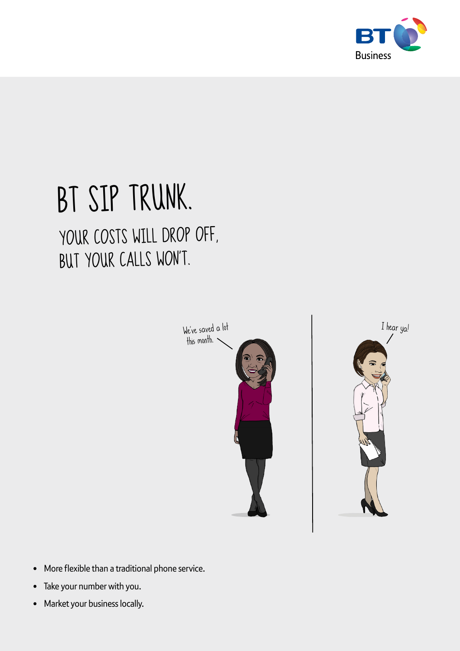

# BT SIP TRUNK. YOUR COSTS WILL DROP OFF, BUT YOUR CALLS WON'T.





- More flexible than a traditional phone service.
- Take your number with you.
- Market your business locally.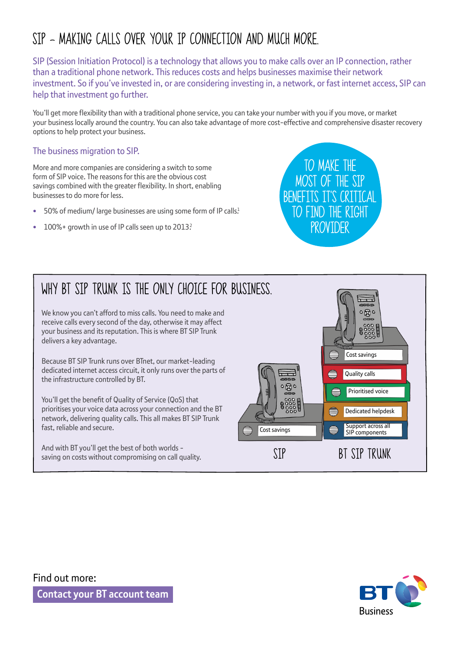### SIP – MAKING CALLS OVER YOUR IP CONNECTION AND MUCH MORE.

SIP (Session Initiation Protocol) is a technology that allows you to make calls over an IP connection, rather than a traditional phone network. This reduces costs and helps businesses maximise their network investment. So if you've invested in, or are considering investing in, a network, or fast internet access, SIP can help that investment go further.

You'll get more flexibility than with a traditional phone service, you can take your number with you if you move, or market your business locally around the country. You can also take advantage of more cost-effective and comprehensive disaster recovery options to help protect your business.

#### The business migration to SIP.

More and more companies are considering a switch to some form of SIP voice. The reasons for this are the obvious cost savings combined with the greater flexibility. In short, enabling businesses to do more for less.

- 50% of medium/ large businesses are using some form of IP calls.<sup>1</sup>
- 100% + growth in use of IP calls seen up to 2013?



### WHY BT STP TRUNK IS THE ONLY CHOTCE FOR BUSINESS.

We know you can't afford to miss calls. You need to make and receive calls every second of the day, otherwise it may affect your business and its reputation. This is where BT SIP Trunk delivers a key advantage.

Because BT SIP Trunk runs over BTnet, our market-leading dedicated internet access circuit, it only runs over the parts of the infrastructure controlled by BT.

You'll get the benefit of Quality of Service (QoS) that prioritises your voice data across your connection and the BT network, delivering quality calls. This all makes BT SIP Trunk fast, reliable and secure.

And with BT you'll get the best of both worlds saving on costs without compromising on call quality.





Find out more:

**Contact your BT account team**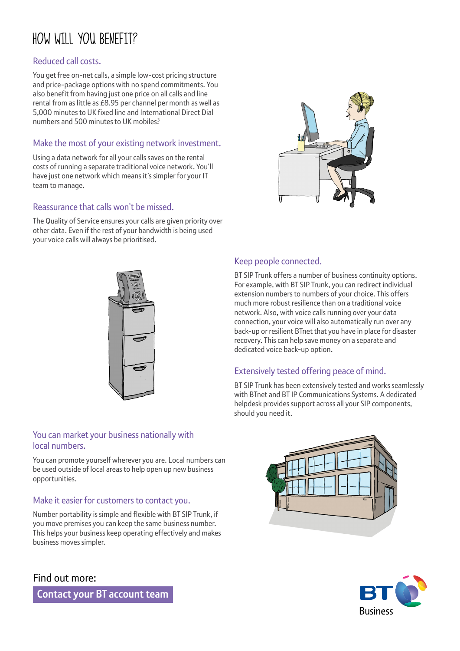### HOW WILL YOU BENEFIT?

#### Reduced call costs.

You get free on-net calls, a simple low-cost pricing structure and price-package options with no spend commitments. You also benefit from having just one price on all calls and line rental from as little as £8.95 per channel per month as well as 5,000 minutes to UK fixed line and International Direct Dial numbers and 500 minutes to UK mobiles<sup>3</sup>

#### Make the most of your existing network investment.

Using a data network for all your calls saves on the rental costs of running a separate traditional voice network. You'll have just one network which means it's simpler for your IT team to manage.

#### Reassurance that calls won't be missed.

The Quality of Service ensures your calls are given priority over other data. Even if the rest of your bandwidth is being used your voice calls will always be prioritised.



#### You can market your business nationally with local numbers.

You can promote yourself wherever you are. Local numbers can be used outside of local areas to help open up new business opportunities.

#### Make it easier for customers to contact you.

Number portability is simple and flexible with BT SIP Trunk, if you move premises you can keep the same business number. This helps your business keep operating effectively and makes business moves simpler.

### Find out more:

**Contact your BT account team**



#### Keep people connected.

BT SIP Trunk offers a number of business continuity options. For example, with BT SIP Trunk, you can redirect individual extension numbers to numbers of your choice. This offers much more robust resilience than on a traditional voice network. Also, with voice calls running over your data connection, your voice will also automatically run over any back-up or resilient BTnet that you have in place for disaster recovery. This can help save money on a separate and dedicated voice back-up option.

#### Extensively tested offering peace of mind.

BT SIP Trunk has been extensively tested and works seamlessly with BTnet and BT IP Communications Systems. A dedicated helpdesk provides support across all your SIP components, should you need it.



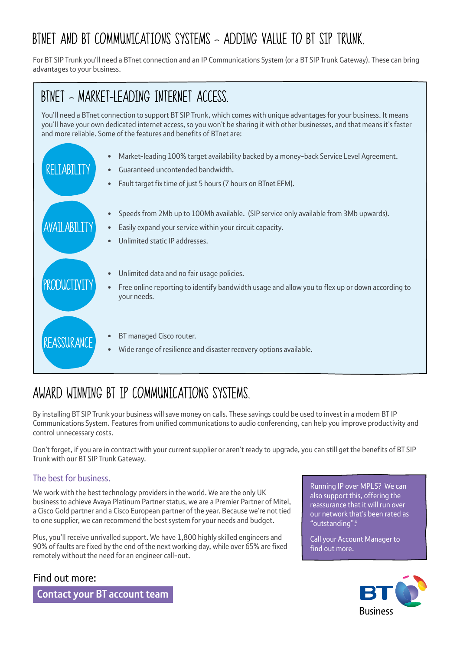### BTNET AND BT COMMUNICATIONS SYSTEMS – ADDING VALUE TO BT SIP TRUNK.

For BT SIP Trunk you'll need a BTnet connection and an IP Communications System (or a BT SIP Trunk Gateway). These can bring advantages to your business.

### BTNET – MARKET-LEADING INTERNET ACCESS.

You'll need a BTnet connection to support BT SIP Trunk, which comes with unique advantages for your business. It means you'll have your own dedicated internet access, so you won't be sharing it with other businesses, and that means it's faster and more reliable. Some of the features and benefits of BTnet are:



### AWARD WINNING BT IP COMMUNICATIONS SYSTEMS.

By installing BT SIP Trunk your business will save money on calls. These savings could be used to invest in a modern BT IP Communications System. Features from unified communications to audio conferencing, can help you improve productivity and control unnecessary costs.

Don't forget, if you are in contract with your current supplier or aren't ready to upgrade, you can still get the benefits of BT SIP Trunk with our BT SIP Trunk Gateway.

#### The best for business.

We work with the best technology providers in the world. We are the only UK business to achieve Avaya Platinum Partner status, we are a Premier Partner of Mitel, a Cisco Gold partner and a Cisco European partner of the year. Because we're not tied to one supplier, we can recommend the best system for your needs and budget.

Plus, you'll receive unrivalled support. We have 1,800 highly skilled engineers and 90% of faults are fixed by the end of the next working day, while over 65% are fixed remotely without the need for an engineer call-out.

#### Find out more:

**Contact your BT account team**

Running IP over MPLS? We can also support this, offering the reassurance that it will run over our network that's been rated as "outstanding". 4

Call your Account Manager to find out more.